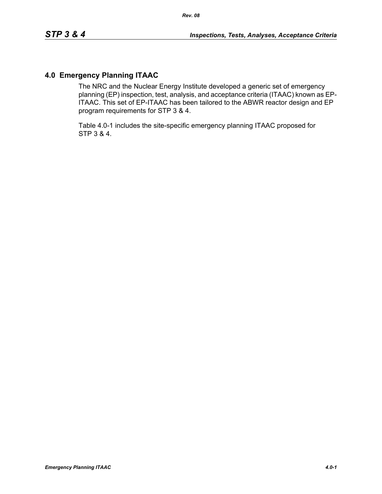# **4.0 Emergency Planning ITAAC**

The NRC and the Nuclear Energy Institute developed a generic set of emergency planning (EP) inspection, test, analysis, and acceptance criteria (ITAAC) known as EP-ITAAC. This set of EP-ITAAC has been tailored to the ABWR reactor design and EP program requirements for STP 3 & 4.

Table 4.0-1 includes the site-specific emergency planning ITAAC proposed for STP 3 & 4.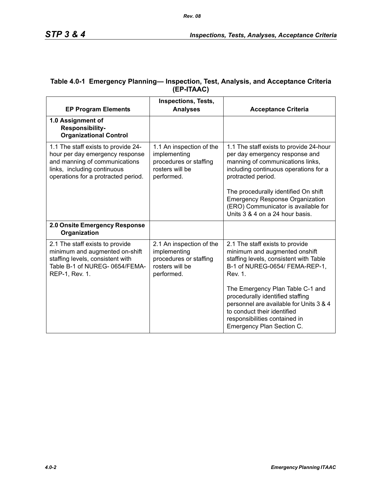| <b>EP Program Elements</b>                                                                                                                                                    | <b>Inspections, Tests,</b><br><b>Analyses</b>                                                       | <b>Acceptance Criteria</b>                                                                                                                                                                                                                                                                                                               |
|-------------------------------------------------------------------------------------------------------------------------------------------------------------------------------|-----------------------------------------------------------------------------------------------------|------------------------------------------------------------------------------------------------------------------------------------------------------------------------------------------------------------------------------------------------------------------------------------------------------------------------------------------|
| 1.0 Assignment of<br><b>Responsibility-</b><br><b>Organizational Control</b>                                                                                                  |                                                                                                     |                                                                                                                                                                                                                                                                                                                                          |
| 1.1 The staff exists to provide 24-<br>hour per day emergency response<br>and manning of communications<br>links, including continuous<br>operations for a protracted period. | 1.1 An inspection of the<br>implementing<br>procedures or staffing<br>rosters will be<br>performed. | 1.1 The staff exists to provide 24-hour<br>per day emergency response and<br>manning of communications links,<br>including continuous operations for a<br>protracted period.<br>The procedurally identified On shift<br><b>Emergency Response Organization</b><br>(ERO) Communicator is available for<br>Units 3 & 4 on a 24 hour basis. |
| 2.0 Onsite Emergency Response<br>Organization                                                                                                                                 |                                                                                                     |                                                                                                                                                                                                                                                                                                                                          |
| 2.1 The staff exists to provide<br>minimum and augmented on-shift<br>staffing levels, consistent with<br>Table B-1 of NUREG-0654/FEMA-<br>REP-1, Rev. 1.                      | 2.1 An inspection of the<br>implementing<br>procedures or staffing<br>rosters will be<br>performed. | 2.1 The staff exists to provide<br>minimum and augmented onshift<br>staffing levels, consistent with Table<br>B-1 of NUREG-0654/ FEMA-REP-1,<br>Rev. 1.                                                                                                                                                                                  |
|                                                                                                                                                                               |                                                                                                     | The Emergency Plan Table C-1 and<br>procedurally identified staffing<br>personnel are available for Units 3 & 4<br>to conduct their identified<br>responsibilities contained in<br>Emergency Plan Section C.                                                                                                                             |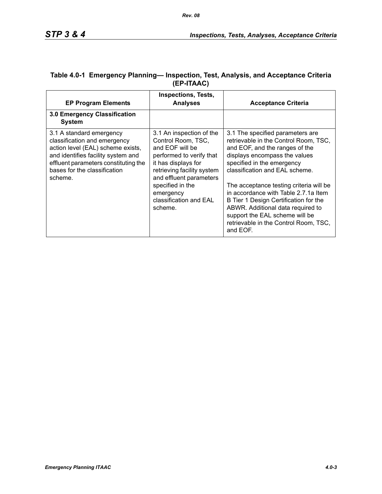| <b>EP Program Elements</b>                                                                                                                                                                                             | Inspections, Tests,<br><b>Analyses</b>                                                                                                                                                                                                              | <b>Acceptance Criteria</b>                                                                                                                                                                                                                                                                                                                                                                                                                                           |
|------------------------------------------------------------------------------------------------------------------------------------------------------------------------------------------------------------------------|-----------------------------------------------------------------------------------------------------------------------------------------------------------------------------------------------------------------------------------------------------|----------------------------------------------------------------------------------------------------------------------------------------------------------------------------------------------------------------------------------------------------------------------------------------------------------------------------------------------------------------------------------------------------------------------------------------------------------------------|
| 3.0 Emergency Classification<br><b>System</b>                                                                                                                                                                          |                                                                                                                                                                                                                                                     |                                                                                                                                                                                                                                                                                                                                                                                                                                                                      |
| 3.1 A standard emergency<br>classification and emergency<br>action level (EAL) scheme exists,<br>and identifies facility system and<br>effluent parameters constituting the<br>bases for the classification<br>scheme. | 3.1 An inspection of the<br>Control Room, TSC,<br>and EOF will be<br>performed to verify that<br>it has displays for<br>retrieving facility system<br>and effluent parameters<br>specified in the<br>emergency<br>classification and EAL<br>scheme. | 3.1 The specified parameters are<br>retrievable in the Control Room, TSC,<br>and EOF, and the ranges of the<br>displays encompass the values<br>specified in the emergency<br>classification and EAL scheme.<br>The acceptance testing criteria will be<br>in accordance with Table 2.7.1a Item<br>B Tier 1 Design Certification for the<br>ABWR. Additional data required to<br>support the EAL scheme will be<br>retrievable in the Control Room, TSC,<br>and EOF. |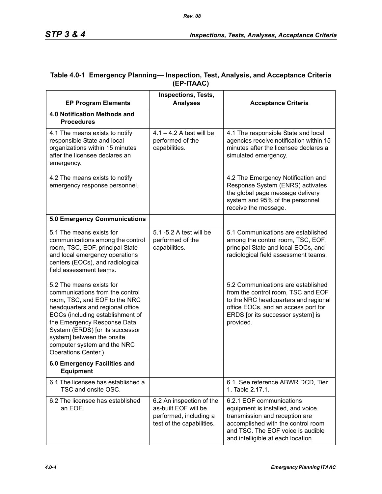|                                                                                                                                                                                                                                                                                                                            | <b>Inspections, Tests,</b>                                                                              |                                                                                                                                                                                                                  |
|----------------------------------------------------------------------------------------------------------------------------------------------------------------------------------------------------------------------------------------------------------------------------------------------------------------------------|---------------------------------------------------------------------------------------------------------|------------------------------------------------------------------------------------------------------------------------------------------------------------------------------------------------------------------|
| <b>EP Program Elements</b>                                                                                                                                                                                                                                                                                                 | <b>Analyses</b>                                                                                         | <b>Acceptance Criteria</b>                                                                                                                                                                                       |
| 4.0 Notification Methods and<br><b>Procedures</b>                                                                                                                                                                                                                                                                          |                                                                                                         |                                                                                                                                                                                                                  |
| 4.1 The means exists to notify<br>responsible State and local<br>organizations within 15 minutes<br>after the licensee declares an<br>emergency.                                                                                                                                                                           | $4.1 - 4.2$ A test will be<br>performed of the<br>capabilities.                                         | 4.1 The responsible State and local<br>agencies receive notification within 15<br>minutes after the licensee declares a<br>simulated emergency.                                                                  |
| 4.2 The means exists to notify<br>emergency response personnel.                                                                                                                                                                                                                                                            |                                                                                                         | 4.2 The Emergency Notification and<br>Response System (ENRS) activates<br>the global page message delivery<br>system and 95% of the personnel<br>receive the message.                                            |
| <b>5.0 Emergency Communications</b>                                                                                                                                                                                                                                                                                        |                                                                                                         |                                                                                                                                                                                                                  |
| 5.1 The means exists for<br>communications among the control<br>room, TSC, EOF, principal State<br>and local emergency operations<br>centers (EOCs), and radiological<br>field assessment teams.                                                                                                                           | 5.1 -5.2 A test will be<br>performed of the<br>capabilities.                                            | 5.1 Communications are established<br>among the control room, TSC, EOF,<br>principal State and local EOCs, and<br>radiological field assessment teams.                                                           |
| 5.2 The means exists for<br>communications from the control<br>room, TSC, and EOF to the NRC<br>headquarters and regional office<br>EOCs (including establishment of<br>the Emergency Response Data<br>System (ERDS) [or its successor<br>system] between the onsite<br>computer system and the NRC<br>Operations Center.) |                                                                                                         | 5.2 Communications are established<br>from the control room, TSC and EOF<br>to the NRC headquarters and regional<br>office EOCs, and an access port for<br>ERDS [or its successor system] is<br>provided.        |
| 6.0 Emergency Facilities and<br><b>Equipment</b>                                                                                                                                                                                                                                                                           |                                                                                                         |                                                                                                                                                                                                                  |
| 6.1 The licensee has established a<br>TSC and onsite OSC.                                                                                                                                                                                                                                                                  |                                                                                                         | 6.1. See reference ABWR DCD, Tier<br>1, Table 2.17.1.                                                                                                                                                            |
| 6.2 The licensee has established<br>an EOF.                                                                                                                                                                                                                                                                                | 6.2 An inspection of the<br>as-built EOF will be<br>performed, including a<br>test of the capabilities. | 6.2.1 EOF communications<br>equipment is installed, and voice<br>transmission and reception are<br>accomplished with the control room<br>and TSC. The EOF voice is audible<br>and intelligible at each location. |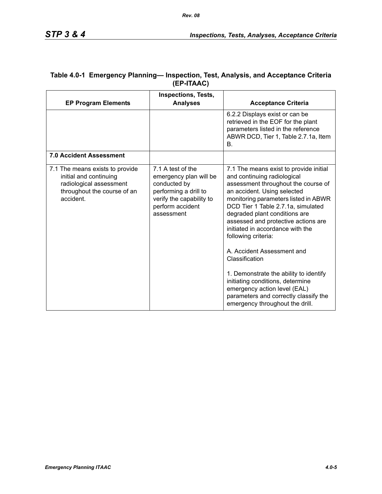| <b>EP Program Elements</b>                                                                                                       | <b>Inspections, Tests,</b><br><b>Analyses</b>                                                                                                      | <b>Acceptance Criteria</b>                                                                                                                                                                                                                                                                                                                                                                                                                                                                                                                                                                             |
|----------------------------------------------------------------------------------------------------------------------------------|----------------------------------------------------------------------------------------------------------------------------------------------------|--------------------------------------------------------------------------------------------------------------------------------------------------------------------------------------------------------------------------------------------------------------------------------------------------------------------------------------------------------------------------------------------------------------------------------------------------------------------------------------------------------------------------------------------------------------------------------------------------------|
|                                                                                                                                  |                                                                                                                                                    | 6.2.2 Displays exist or can be<br>retrieved in the EOF for the plant<br>parameters listed in the reference<br>ABWR DCD, Tier 1, Table 2.7.1a, Item<br>В.                                                                                                                                                                                                                                                                                                                                                                                                                                               |
| <b>7.0 Accident Assessment</b>                                                                                                   |                                                                                                                                                    |                                                                                                                                                                                                                                                                                                                                                                                                                                                                                                                                                                                                        |
| 7.1 The means exists to provide<br>initial and continuing<br>radiological assessment<br>throughout the course of an<br>accident. | 7.1 A test of the<br>emergency plan will be<br>conducted by<br>performing a drill to<br>verify the capability to<br>perform accident<br>assessment | 7.1 The means exist to provide initial<br>and continuing radiological<br>assessment throughout the course of<br>an accident. Using selected<br>monitoring parameters listed in ABWR<br>DCD Tier 1 Table 2.7.1a, simulated<br>degraded plant conditions are<br>assessed and protective actions are<br>initiated in accordance with the<br>following criteria:<br>A. Accident Assessment and<br>Classification<br>1. Demonstrate the ability to identify<br>initiating conditions, determine<br>emergency action level (EAL)<br>parameters and correctly classify the<br>emergency throughout the drill. |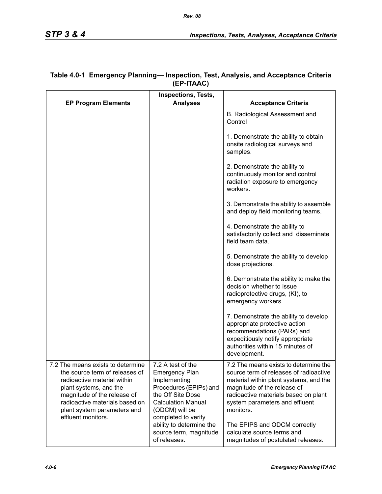|                                                                                                                                                                                                                                                    | <b>Inspections, Tests,</b>                                                                                                                               |                                                                                                                                                                                                                                                 |
|----------------------------------------------------------------------------------------------------------------------------------------------------------------------------------------------------------------------------------------------------|----------------------------------------------------------------------------------------------------------------------------------------------------------|-------------------------------------------------------------------------------------------------------------------------------------------------------------------------------------------------------------------------------------------------|
| <b>EP Program Elements</b>                                                                                                                                                                                                                         | <b>Analyses</b>                                                                                                                                          | <b>Acceptance Criteria</b>                                                                                                                                                                                                                      |
|                                                                                                                                                                                                                                                    |                                                                                                                                                          | B. Radiological Assessment and<br>Control                                                                                                                                                                                                       |
|                                                                                                                                                                                                                                                    |                                                                                                                                                          | 1. Demonstrate the ability to obtain<br>onsite radiological surveys and<br>samples.                                                                                                                                                             |
|                                                                                                                                                                                                                                                    |                                                                                                                                                          | 2. Demonstrate the ability to<br>continuously monitor and control<br>radiation exposure to emergency<br>workers.                                                                                                                                |
|                                                                                                                                                                                                                                                    |                                                                                                                                                          | 3. Demonstrate the ability to assemble<br>and deploy field monitoring teams.                                                                                                                                                                    |
|                                                                                                                                                                                                                                                    |                                                                                                                                                          | 4. Demonstrate the ability to<br>satisfactorily collect and disseminate<br>field team data.                                                                                                                                                     |
|                                                                                                                                                                                                                                                    |                                                                                                                                                          | 5. Demonstrate the ability to develop<br>dose projections.                                                                                                                                                                                      |
|                                                                                                                                                                                                                                                    |                                                                                                                                                          | 6. Demonstrate the ability to make the<br>decision whether to issue<br>radioprotective drugs, (KI), to<br>emergency workers                                                                                                                     |
|                                                                                                                                                                                                                                                    |                                                                                                                                                          | 7. Demonstrate the ability to develop<br>appropriate protective action<br>recommendations (PARs) and<br>expeditiously notify appropriate<br>authorities within 15 minutes of<br>development.                                                    |
| 7.2 The means exists to determine<br>the source term of releases of<br>radioactive material within<br>plant systems, and the<br>magnitude of the release of<br>radioactive materials based on<br>plant system parameters and<br>effluent monitors. | 7.2 A test of the<br><b>Emergency Plan</b><br>Implementing<br>Procedures (EPIPs) and<br>the Off Site Dose<br><b>Calculation Manual</b><br>(ODCM) will be | 7.2 The means exists to determine the<br>source term of releases of radioactive<br>material within plant systems, and the<br>magnitude of the release of<br>radioactive materials based on plant<br>system parameters and effluent<br>monitors. |
|                                                                                                                                                                                                                                                    | completed to verify<br>ability to determine the<br>source term, magnitude<br>of releases.                                                                | The EPIPS and ODCM correctly<br>calculate source terms and<br>magnitudes of postulated releases.                                                                                                                                                |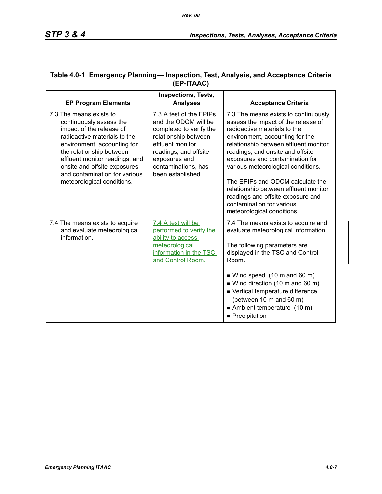| <b>EP Program Elements</b>                                                                                                                                                                                                                                                                                 | <b>Inspections, Tests,</b><br><b>Analyses</b>                                                                                                                                                                | <b>Acceptance Criteria</b>                                                                                                                                                                                                                                                                                                                                                                                                                                                        |
|------------------------------------------------------------------------------------------------------------------------------------------------------------------------------------------------------------------------------------------------------------------------------------------------------------|--------------------------------------------------------------------------------------------------------------------------------------------------------------------------------------------------------------|-----------------------------------------------------------------------------------------------------------------------------------------------------------------------------------------------------------------------------------------------------------------------------------------------------------------------------------------------------------------------------------------------------------------------------------------------------------------------------------|
| 7.3 The means exists to<br>continuously assess the<br>impact of the release of<br>radioactive materials to the<br>environment, accounting for<br>the relationship between<br>effluent monitor readings, and<br>onsite and offsite exposures<br>and contamination for various<br>meteorological conditions. | 7.3 A test of the EPIPs<br>and the ODCM will be<br>completed to verify the<br>relationship between<br>effluent monitor<br>readings, and offsite<br>exposures and<br>contaminations, has<br>been established. | 7.3 The means exists to continuously<br>assess the impact of the release of<br>radioactive materials to the<br>environment, accounting for the<br>relationship between effluent monitor<br>readings, and onsite and offsite<br>exposures and contamination for<br>various meteorological conditions.<br>The EPIPs and ODCM calculate the<br>relationship between effluent monitor<br>readings and offsite exposure and<br>contamination for various<br>meteorological conditions. |
| 7.4 The means exists to acquire<br>and evaluate meteorological<br>information.                                                                                                                                                                                                                             | 7.4 A test will be<br>performed to verify the<br>ability to access                                                                                                                                           | 7.4 The means exists to acquire and<br>evaluate meteorological information.                                                                                                                                                                                                                                                                                                                                                                                                       |
|                                                                                                                                                                                                                                                                                                            | meteorological<br>information in the TSC<br>and Control Room.                                                                                                                                                | The following parameters are<br>displayed in the TSC and Control<br>Room.                                                                                                                                                                                                                                                                                                                                                                                                         |
|                                                                                                                                                                                                                                                                                                            |                                                                                                                                                                                                              | $\blacksquare$ Wind speed (10 m and 60 m)<br>$\blacksquare$ Wind direction (10 m and 60 m)<br>■ Vertical temperature difference<br>(between 10 m and 60 m)<br>Ambient temperature (10 m)<br>Precipitation                                                                                                                                                                                                                                                                         |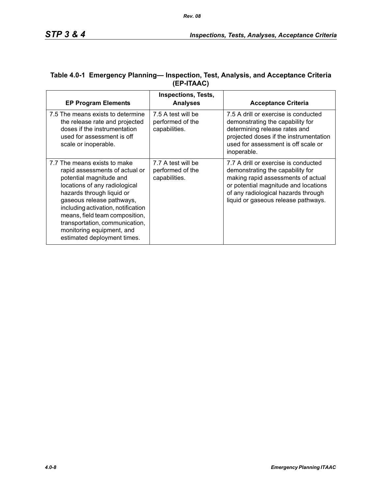| <b>EP Program Elements</b>                                                                                                                                                                                                                                                                                                                                 | <b>Inspections, Tests,</b><br><b>Analyses</b>           | <b>Acceptance Criteria</b>                                                                                                                                                                                                           |
|------------------------------------------------------------------------------------------------------------------------------------------------------------------------------------------------------------------------------------------------------------------------------------------------------------------------------------------------------------|---------------------------------------------------------|--------------------------------------------------------------------------------------------------------------------------------------------------------------------------------------------------------------------------------------|
| 7.5 The means exists to determine<br>the release rate and projected<br>doses if the instrumentation<br>used for assessment is off<br>scale or inoperable.                                                                                                                                                                                                  | 7.5 A test will be<br>performed of the<br>capabilities. | 7.5 A drill or exercise is conducted<br>demonstrating the capability for<br>determining release rates and<br>projected doses if the instrumentation<br>used for assessment is off scale or<br>inoperable.                            |
| 7.7 The means exists to make<br>rapid assessments of actual or<br>potential magnitude and<br>locations of any radiological<br>hazards through liquid or<br>gaseous release pathways,<br>including activation, notification<br>means, field team composition,<br>transportation, communication,<br>monitoring equipment, and<br>estimated deployment times. | 7.7 A test will be<br>performed of the<br>capabilities. | 7.7 A drill or exercise is conducted<br>demonstrating the capability for<br>making rapid assessments of actual<br>or potential magnitude and locations<br>of any radiological hazards through<br>liquid or gaseous release pathways. |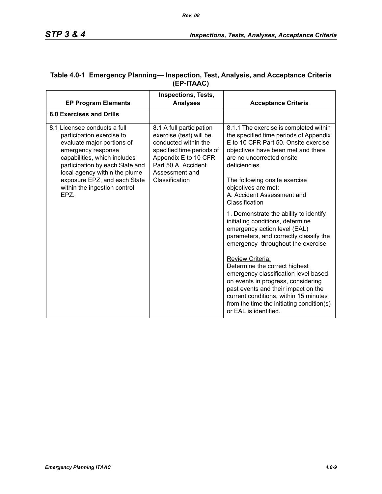|                                                                                                                                                                                                                                                   | <b>Inspections, Tests,</b>                                                                                                                                                                  |                                                                                                                                                                                                                                                                                       |
|---------------------------------------------------------------------------------------------------------------------------------------------------------------------------------------------------------------------------------------------------|---------------------------------------------------------------------------------------------------------------------------------------------------------------------------------------------|---------------------------------------------------------------------------------------------------------------------------------------------------------------------------------------------------------------------------------------------------------------------------------------|
| <b>EP Program Elements</b>                                                                                                                                                                                                                        | <b>Analyses</b>                                                                                                                                                                             | <b>Acceptance Criteria</b>                                                                                                                                                                                                                                                            |
| <b>8.0 Exercises and Drills</b>                                                                                                                                                                                                                   |                                                                                                                                                                                             |                                                                                                                                                                                                                                                                                       |
| 8.1 Licensee conducts a full<br>participation exercise to<br>evaluate major portions of<br>emergency response<br>capabilities, which includes<br>participation by each State and<br>local agency within the plume<br>exposure EPZ, and each State | 8.1 A full participation<br>exercise (test) will be<br>conducted within the<br>specified time periods of<br>Appendix E to 10 CFR<br>Part 50.A. Accident<br>Assessment and<br>Classification | 8.1.1 The exercise is completed within<br>the specified time periods of Appendix<br>E to 10 CFR Part 50. Onsite exercise<br>objectives have been met and there<br>are no uncorrected onsite<br>deficiencies.<br>The following onsite exercise                                         |
| within the ingestion control<br>EPZ.                                                                                                                                                                                                              |                                                                                                                                                                                             | objectives are met:<br>A. Accident Assessment and<br>Classification                                                                                                                                                                                                                   |
|                                                                                                                                                                                                                                                   |                                                                                                                                                                                             | 1. Demonstrate the ability to identify<br>initiating conditions, determine<br>emergency action level (EAL)<br>parameters, and correctly classify the<br>emergency throughout the exercise                                                                                             |
|                                                                                                                                                                                                                                                   |                                                                                                                                                                                             | Review Criteria:<br>Determine the correct highest<br>emergency classification level based<br>on events in progress, considering<br>past events and their impact on the<br>current conditions, within 15 minutes<br>from the time the initiating condition(s)<br>or EAL is identified. |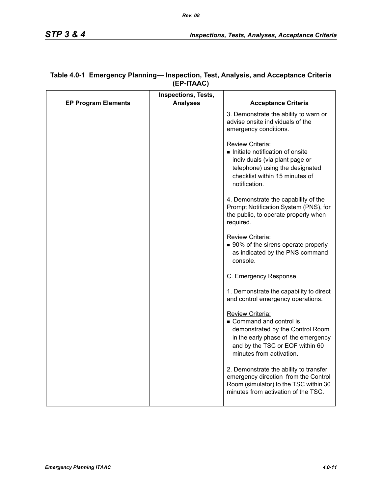|                            | <b>Inspections, Tests,</b> |                                                                                                                                                                                             |
|----------------------------|----------------------------|---------------------------------------------------------------------------------------------------------------------------------------------------------------------------------------------|
| <b>EP Program Elements</b> | <b>Analyses</b>            | <b>Acceptance Criteria</b>                                                                                                                                                                  |
|                            |                            | 3. Demonstrate the ability to warn or<br>advise onsite individuals of the<br>emergency conditions.                                                                                          |
|                            |                            | <b>Review Criteria:</b><br>Initiate notification of onsite<br>individuals (via plant page or<br>telephone) using the designated<br>checklist within 15 minutes of<br>notification.          |
|                            |                            | 4. Demonstrate the capability of the<br>Prompt Notification System (PNS), for<br>the public, to operate properly when<br>required.                                                          |
|                            |                            | Review Criteria:<br>■ 90% of the sirens operate properly<br>as indicated by the PNS command<br>console.                                                                                     |
|                            |                            | C. Emergency Response                                                                                                                                                                       |
|                            |                            | 1. Demonstrate the capability to direct<br>and control emergency operations.                                                                                                                |
|                            |                            | <b>Review Criteria:</b><br>Command and control is<br>demonstrated by the Control Room<br>in the early phase of the emergency<br>and by the TSC or EOF within 60<br>minutes from activation. |
|                            |                            | 2. Demonstrate the ability to transfer<br>emergency direction from the Control<br>Room (simulator) to the TSC within 30<br>minutes from activation of the TSC.                              |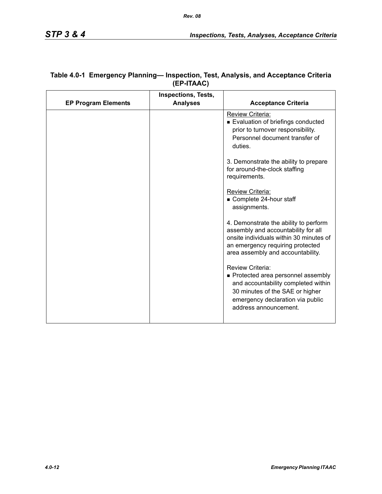|                            | <b>Inspections, Tests,</b> |                                                                                                                                                                                                  |
|----------------------------|----------------------------|--------------------------------------------------------------------------------------------------------------------------------------------------------------------------------------------------|
| <b>EP Program Elements</b> | <b>Analyses</b>            | <b>Acceptance Criteria</b>                                                                                                                                                                       |
|                            |                            | Review Criteria:<br>Evaluation of briefings conducted<br>prior to turnover responsibility.<br>Personnel document transfer of<br>duties.                                                          |
|                            |                            | 3. Demonstrate the ability to prepare<br>for around-the-clock staffing<br>requirements.                                                                                                          |
|                            |                            | Review Criteria:<br>Complete 24-hour staff<br>assignments.                                                                                                                                       |
|                            |                            | 4. Demonstrate the ability to perform<br>assembly and accountability for all<br>onsite individuals within 30 minutes of<br>an emergency requiring protected<br>area assembly and accountability. |
|                            |                            | Review Criteria:<br>• Protected area personnel assembly<br>and accountability completed within<br>30 minutes of the SAE or higher<br>emergency declaration via public<br>address announcement.   |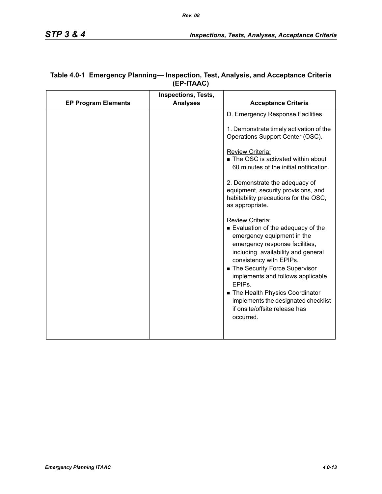| <b>Analyses</b><br><b>EP Program Elements</b>                                                                  |                                                                                                                                                                                                                                                                                          |
|----------------------------------------------------------------------------------------------------------------|------------------------------------------------------------------------------------------------------------------------------------------------------------------------------------------------------------------------------------------------------------------------------------------|
|                                                                                                                | <b>Acceptance Criteria</b>                                                                                                                                                                                                                                                               |
|                                                                                                                | D. Emergency Response Facilities                                                                                                                                                                                                                                                         |
|                                                                                                                | 1. Demonstrate timely activation of the<br>Operations Support Center (OSC).                                                                                                                                                                                                              |
| Review Criteria:                                                                                               | ■ The OSC is activated within about<br>60 minutes of the initial notification.                                                                                                                                                                                                           |
| as appropriate.                                                                                                | 2. Demonstrate the adequacy of<br>equipment, security provisions, and<br>habitability precautions for the OSC,                                                                                                                                                                           |
| Review Criteria:<br>consistency with EPIPs.<br>EPIP <sub>S</sub><br>if onsite/offsite release has<br>occurred. | Evaluation of the adequacy of the<br>emergency equipment in the<br>emergency response facilities,<br>including availability and general<br>■ The Security Force Supervisor<br>implements and follows applicable<br>The Health Physics Coordinator<br>implements the designated checklist |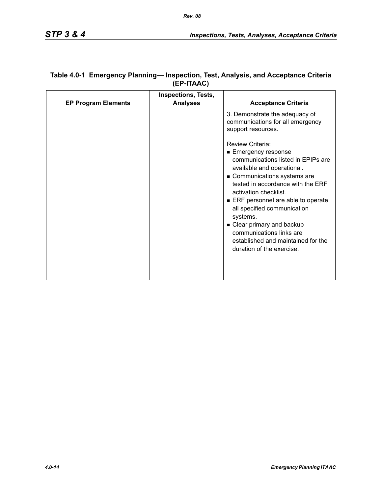| <b>EP Program Elements</b> | Inspections, Tests,<br><b>Analyses</b> | <b>Acceptance Criteria</b>                                                                                                                                                                                                                                                                                                                                                                                                   |
|----------------------------|----------------------------------------|------------------------------------------------------------------------------------------------------------------------------------------------------------------------------------------------------------------------------------------------------------------------------------------------------------------------------------------------------------------------------------------------------------------------------|
|                            |                                        | 3. Demonstrate the adequacy of<br>communications for all emergency<br>support resources.                                                                                                                                                                                                                                                                                                                                     |
|                            |                                        | <b>Review Criteria:</b><br>■ Emergency response<br>communications listed in EPIPs are<br>available and operational.<br>Communications systems are<br>tested in accordance with the ERF<br>activation checklist.<br>ERF personnel are able to operate<br>all specified communication<br>systems.<br>• Clear primary and backup<br>communications links are<br>established and maintained for the<br>duration of the exercise. |
|                            |                                        |                                                                                                                                                                                                                                                                                                                                                                                                                              |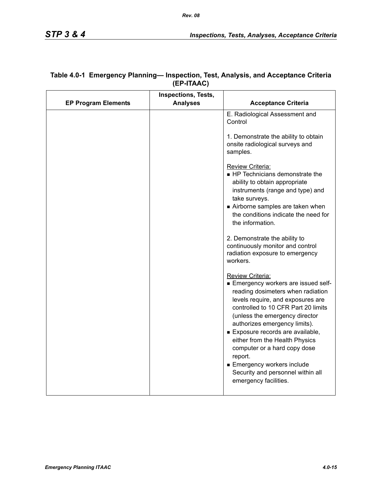|                            | Inspections, Tests, |                                                                                                                                                                                                                                                                                                                                                                                                                                                           |
|----------------------------|---------------------|-----------------------------------------------------------------------------------------------------------------------------------------------------------------------------------------------------------------------------------------------------------------------------------------------------------------------------------------------------------------------------------------------------------------------------------------------------------|
| <b>EP Program Elements</b> | <b>Analyses</b>     | <b>Acceptance Criteria</b>                                                                                                                                                                                                                                                                                                                                                                                                                                |
|                            |                     | E. Radiological Assessment and<br>Control                                                                                                                                                                                                                                                                                                                                                                                                                 |
|                            |                     | 1. Demonstrate the ability to obtain<br>onsite radiological surveys and<br>samples.                                                                                                                                                                                                                                                                                                                                                                       |
|                            |                     | Review Criteria:<br>HP Technicians demonstrate the<br>ability to obtain appropriate<br>instruments (range and type) and<br>take surveys.<br>Airborne samples are taken when<br>the conditions indicate the need for<br>the information.                                                                                                                                                                                                                   |
|                            |                     | 2. Demonstrate the ability to<br>continuously monitor and control<br>radiation exposure to emergency<br>workers.                                                                                                                                                                                                                                                                                                                                          |
|                            |                     | Review Criteria:<br>■ Emergency workers are issued self-<br>reading dosimeters when radiation<br>levels require, and exposures are<br>controlled to 10 CFR Part 20 limits<br>(unless the emergency director<br>authorizes emergency limits).<br>Exposure records are available,<br>either from the Health Physics<br>computer or a hard copy dose<br>report.<br>■ Emergency workers include<br>Security and personnel within all<br>emergency facilities. |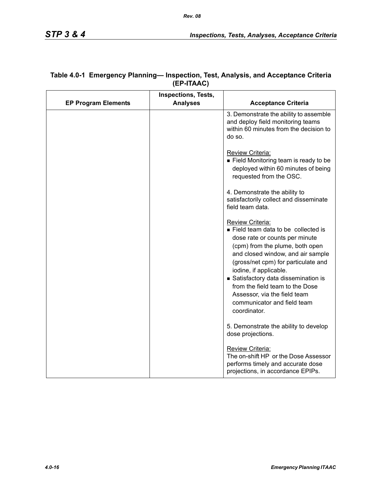|                            | <b>Inspections, Tests,</b> |                                                                                                                                                                                                                                                                                                                                                                                           |
|----------------------------|----------------------------|-------------------------------------------------------------------------------------------------------------------------------------------------------------------------------------------------------------------------------------------------------------------------------------------------------------------------------------------------------------------------------------------|
| <b>EP Program Elements</b> | <b>Analyses</b>            | <b>Acceptance Criteria</b>                                                                                                                                                                                                                                                                                                                                                                |
|                            |                            | 3. Demonstrate the ability to assemble<br>and deploy field monitoring teams<br>within 60 minutes from the decision to<br>do so.                                                                                                                                                                                                                                                           |
|                            |                            | Review Criteria:<br>Field Monitoring team is ready to be<br>deployed within 60 minutes of being<br>requested from the OSC.                                                                                                                                                                                                                                                                |
|                            |                            | 4. Demonstrate the ability to<br>satisfactorily collect and disseminate<br>field team data.                                                                                                                                                                                                                                                                                               |
|                            |                            | Review Criteria:<br>Field team data to be collected is<br>dose rate or counts per minute<br>(cpm) from the plume, both open<br>and closed window, and air sample<br>(gross/net cpm) for particulate and<br>iodine, if applicable.<br>Satisfactory data dissemination is<br>from the field team to the Dose<br>Assessor, via the field team<br>communicator and field team<br>coordinator. |
|                            |                            | 5. Demonstrate the ability to develop<br>dose projections.                                                                                                                                                                                                                                                                                                                                |
|                            |                            | Review Criteria:<br>The on-shift HP or the Dose Assessor<br>performs timely and accurate dose<br>projections, in accordance EPIPs.                                                                                                                                                                                                                                                        |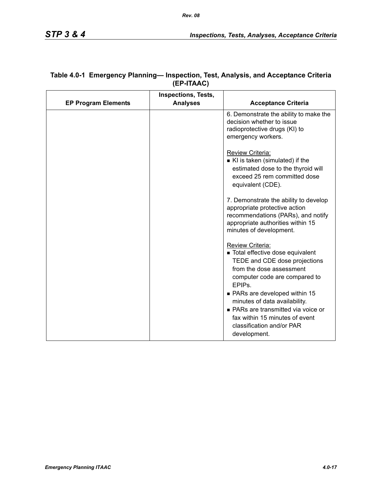|                            | <b>Inspections, Tests,</b> |                                                                                                                                                                                                                                                                                                                                                                     |
|----------------------------|----------------------------|---------------------------------------------------------------------------------------------------------------------------------------------------------------------------------------------------------------------------------------------------------------------------------------------------------------------------------------------------------------------|
| <b>EP Program Elements</b> | <b>Analyses</b>            | <b>Acceptance Criteria</b>                                                                                                                                                                                                                                                                                                                                          |
|                            |                            | 6. Demonstrate the ability to make the<br>decision whether to issue<br>radioprotective drugs (KI) to<br>emergency workers.                                                                                                                                                                                                                                          |
|                            |                            | Review Criteria:<br>KI is taken (simulated) if the<br>estimated dose to the thyroid will<br>exceed 25 rem committed dose<br>equivalent (CDE).                                                                                                                                                                                                                       |
|                            |                            | 7. Demonstrate the ability to develop<br>appropriate protective action<br>recommendations (PARs), and notify<br>appropriate authorities within 15<br>minutes of development.                                                                                                                                                                                        |
|                            |                            | Review Criteria:<br>■ Total effective dose equivalent<br>TEDE and CDE dose projections<br>from the dose assessment<br>computer code are compared to<br>EPIP <sub>s</sub> .<br>• PARs are developed within 15<br>minutes of data availability.<br>■ PARs are transmitted via voice or<br>fax within 15 minutes of event<br>classification and/or PAR<br>development. |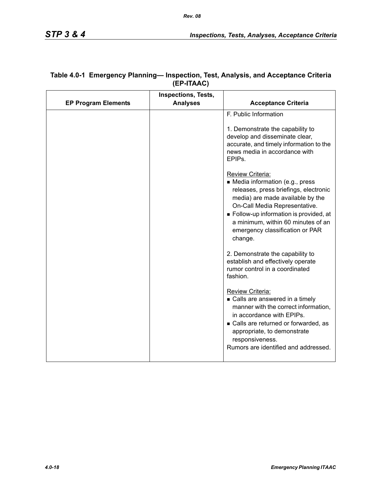|                            | Inspections, Tests, |                                                                                                                                                                                                                                                                                                 |
|----------------------------|---------------------|-------------------------------------------------------------------------------------------------------------------------------------------------------------------------------------------------------------------------------------------------------------------------------------------------|
| <b>EP Program Elements</b> | <b>Analyses</b>     | <b>Acceptance Criteria</b>                                                                                                                                                                                                                                                                      |
|                            |                     | F. Public Information<br>1. Demonstrate the capability to<br>develop and disseminate clear,<br>accurate, and timely information to the<br>news media in accordance with<br>EPIPs.                                                                                                               |
|                            |                     | Review Criteria:<br>• Media information (e.g., press<br>releases, press briefings, electronic<br>media) are made available by the<br>On-Call Media Representative.<br>Follow-up information is provided, at<br>a minimum, within 60 minutes of an<br>emergency classification or PAR<br>change. |
|                            |                     | 2. Demonstrate the capability to<br>establish and effectively operate<br>rumor control in a coordinated<br>fashion.                                                                                                                                                                             |
|                            |                     | Review Criteria:<br>• Calls are answered in a timely<br>manner with the correct information,<br>in accordance with EPIPs.<br>• Calls are returned or forwarded, as<br>appropriate, to demonstrate<br>responsiveness.<br>Rumors are identified and addressed.                                    |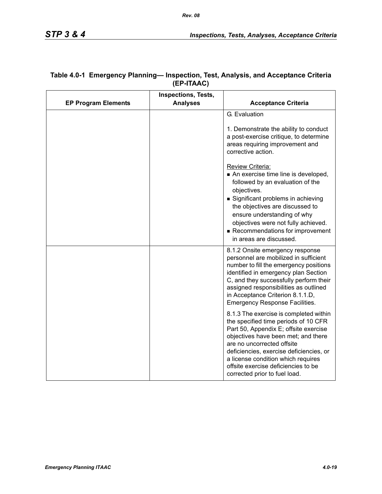|                            | <b>Inspections, Tests,</b> |                                                                                                                                                                                                                                                                                                                                                                                                                                                                                                                                                                                                                                                                                                                |
|----------------------------|----------------------------|----------------------------------------------------------------------------------------------------------------------------------------------------------------------------------------------------------------------------------------------------------------------------------------------------------------------------------------------------------------------------------------------------------------------------------------------------------------------------------------------------------------------------------------------------------------------------------------------------------------------------------------------------------------------------------------------------------------|
| <b>EP Program Elements</b> | <b>Analyses</b>            | <b>Acceptance Criteria</b>                                                                                                                                                                                                                                                                                                                                                                                                                                                                                                                                                                                                                                                                                     |
|                            |                            | G. Evaluation<br>1. Demonstrate the ability to conduct<br>a post-exercise critique, to determine<br>areas requiring improvement and<br>corrective action.<br>Review Criteria:<br>An exercise time line is developed,<br>followed by an evaluation of the<br>objectives.<br>Significant problems in achieving<br>the objectives are discussed to<br>ensure understanding of why<br>objectives were not fully achieved.<br>Recommendations for improvement                                                                                                                                                                                                                                                       |
|                            |                            | in areas are discussed.<br>8.1.2 Onsite emergency response<br>personnel are mobilized in sufficient<br>number to fill the emergency positions<br>identified in emergency plan Section<br>C, and they successfully perform their<br>assigned responsibilities as outlined<br>in Acceptance Criterion 8.1.1.D,<br><b>Emergency Response Facilities.</b><br>8.1.3 The exercise is completed within<br>the specified time periods of 10 CFR<br>Part 50, Appendix E; offsite exercise<br>objectives have been met; and there<br>are no uncorrected offsite<br>deficiencies, exercise deficiencies, or<br>a license condition which requires<br>offsite exercise deficiencies to be<br>corrected prior to fuel load. |